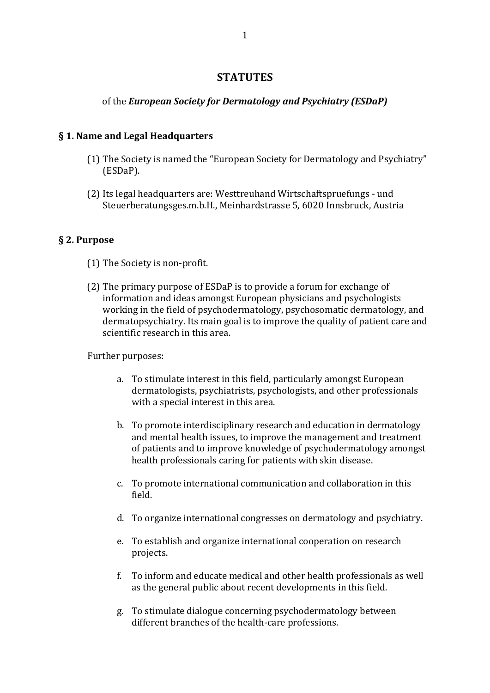# **STATUTES**

# of the *European Society for Dermatology and Psychiatry (ESDaP)*

## **§ 1. Name and Legal Headquarters**

- (1) The Society is named the "European Society for Dermatology and Psychiatry" (ESDaP).
- (2) Its legal headquarters are: Westtreuhand Wirtschaftspruefungs und Steuerberatungsges.m.b.H., Meinhardstrasse 5, 6020 Innsbruck, Austria

# **§ 2. Purpose**

- (1) The Society is non-profit.
- (2) The primary purpose of ESDaP is to provide a forum for exchange of information and ideas amongst European physicians and psychologists working in the field of psychodermatology, psychosomatic dermatology, and dermatopsychiatry. Its main goal is to improve the quality of patient care and scientific research in this area.

## Further purposes:

- a. To stimulate interest in this field, particularly amongst European dermatologists, psychiatrists, psychologists, and other professionals with a special interest in this area.
- b. To promote interdisciplinary research and education in dermatology and mental health issues, to improve the management and treatment of patients and to improve knowledge of psychodermatology amongst health professionals caring for patients with skin disease.
- c. To promote international communication and collaboration in this field.
- d. To organize international congresses on dermatology and psychiatry.
- e. To establish and organize international cooperation on research projects.
- f. To inform and educate medical and other health professionals as well as the general public about recent developments in this field.
- g. To stimulate dialogue concerning psychodermatology between different branches of the health-care professions.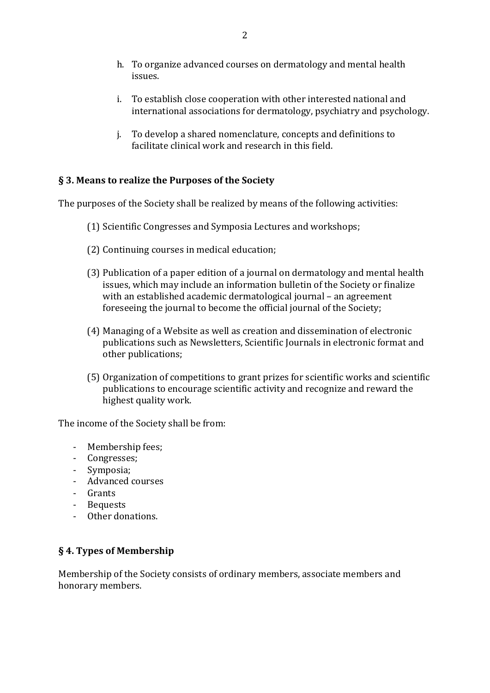- h. To organize advanced courses on dermatology and mental health issues.
- i. To establish close cooperation with other interested national and international associations for dermatology, psychiatry and psychology.
- i. To develop a shared nomenclature, concepts and definitions to facilitate clinical work and research in this field.

# **§ 3. Means to realize the Purposes of the Society**

The purposes of the Society shall be realized by means of the following activities:

- (1) Scientific Congresses and Symposia Lectures and workshops;
- (2) Continuing courses in medical education;
- (3) Publication of a paper edition of a journal on dermatology and mental health issues, which may include an information bulletin of the Society or finalize with an established academic dermatological journal – an agreement foreseeing the journal to become the official journal of the Society;
- (4) Managing of a Website as well as creation and dissemination of electronic publications such as Newsletters, Scientific Journals in electronic format and other publications;
- (5) Organization of competitions to grant prizes for scientific works and scientific publications to encourage scientific activity and recognize and reward the highest quality work.

The income of the Society shall be from:

- Membership fees;
- Congresses;
- Symposia;
- Advanced courses
- Grants
- Bequests
- Other donations.

## **§ 4. Types of Membership**

Membership of the Society consists of ordinary members, associate members and honorary members.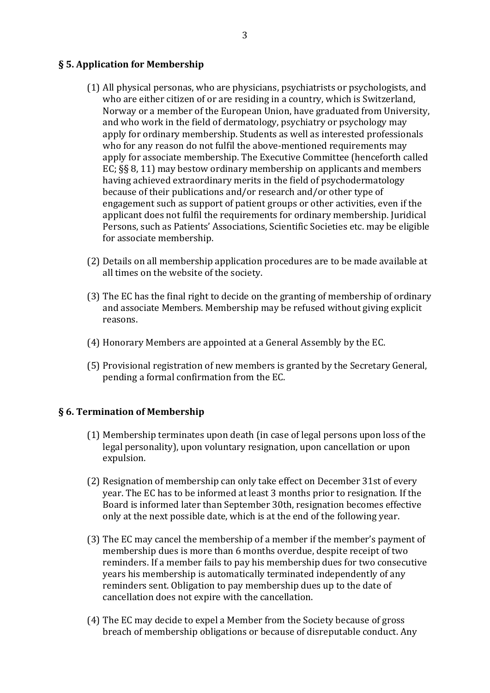#### **§ 5. Application for Membership**

- $(1)$  All physical personas, who are physicians, psychiatrists or psychologists, and who are either citizen of or are residing in a country, which is Switzerland, Norway or a member of the European Union, have graduated from University, and who work in the field of dermatology, psychiatry or psychology may apply for ordinary membership. Students as well as interested professionals who for any reason do not fulfil the above-mentioned requirements may apply for associate membership. The Executive Committee (henceforth called EC;  $\S$ § 8, 11) may bestow ordinary membership on applicants and members having achieved extraordinary merits in the field of psychodermatology because of their publications and/or research and/or other type of engagement such as support of patient groups or other activities, even if the applicant does not fulfil the requirements for ordinary membership. Juridical Persons, such as Patients' Associations, Scientific Societies etc. may be eligible for associate membership.
- (2) Details on all membership application procedures are to be made available at all times on the website of the society.
- (3) The EC has the final right to decide on the granting of membership of ordinary and associate Members. Membership may be refused without giving explicit reasons.
- (4) Honorary Members are appointed at a General Assembly by the EC.
- (5) Provisional registration of new members is granted by the Secretary General, pending a formal confirmation from the EC.

#### § 6. Termination of Membership

- $(1)$  Membership terminates upon death (in case of legal persons upon loss of the legal personality), upon voluntary resignation, upon cancellation or upon expulsion.
- (2) Resignation of membership can only take effect on December 31st of every year. The EC has to be informed at least 3 months prior to resignation. If the Board is informed later than September 30th, resignation becomes effective only at the next possible date, which is at the end of the following year.
- (3) The EC may cancel the membership of a member if the member's payment of membership dues is more than 6 months overdue, despite receipt of two reminders. If a member fails to pay his membership dues for two consecutive years his membership is automatically terminated independently of any reminders sent. Obligation to pay membership dues up to the date of cancellation does not expire with the cancellation.
- (4) The EC may decide to expel a Member from the Society because of gross breach of membership obligations or because of disreputable conduct. Any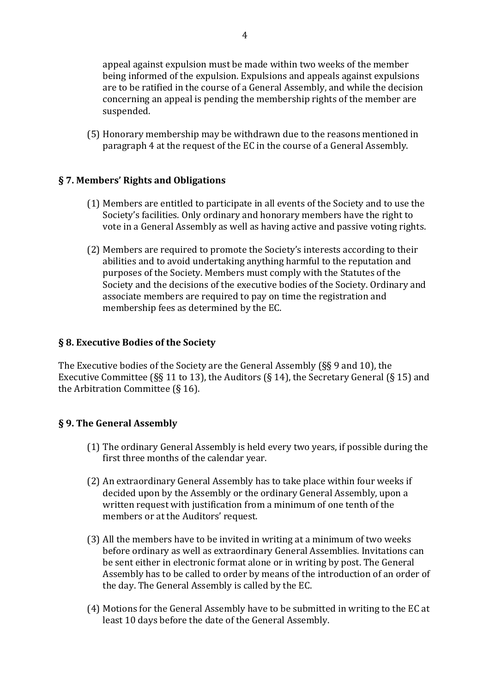appeal against expulsion must be made within two weeks of the member being informed of the expulsion. Expulsions and appeals against expulsions are to be ratified in the course of a General Assembly, and while the decision concerning an appeal is pending the membership rights of the member are suspended.

(5) Honorary membership may be withdrawn due to the reasons mentioned in paragraph 4 at the request of the EC in the course of a General Assembly.

# **§ 7. Members' Rights and Obligations**

- (1) Members are entitled to participate in all events of the Society and to use the Society's facilities. Only ordinary and honorary members have the right to vote in a General Assembly as well as having active and passive voting rights.
- (2) Members are required to promote the Society's interests according to their abilities and to avoid undertaking anything harmful to the reputation and purposes of the Society. Members must comply with the Statutes of the Society and the decisions of the executive bodies of the Society. Ordinary and associate members are required to pay on time the registration and membership fees as determined by the EC.

## **§ 8. Executive Bodies of the Society**

The Executive bodies of the Society are the General Assembly  $(S\ S 9$  and 10), the Executive Committee (§§ 11 to 13), the Auditors (§ 14), the Secretary General (§ 15) and the Arbitration Committee  $(§ 16)$ .

# **§ 9. The General Assembly**

- $(1)$  The ordinary General Assembly is held every two years, if possible during the first three months of the calendar year.
- (2) An extraordinary General Assembly has to take place within four weeks if decided upon by the Assembly or the ordinary General Assembly, upon a written request with justification from a minimum of one tenth of the members or at the Auditors' request.
- (3) All the members have to be invited in writing at a minimum of two weeks before ordinary as well as extraordinary General Assemblies. Invitations can be sent either in electronic format alone or in writing by post. The General Assembly has to be called to order by means of the introduction of an order of the day. The General Assembly is called by the EC.
- (4) Motions for the General Assembly have to be submitted in writing to the EC at least 10 days before the date of the General Assembly.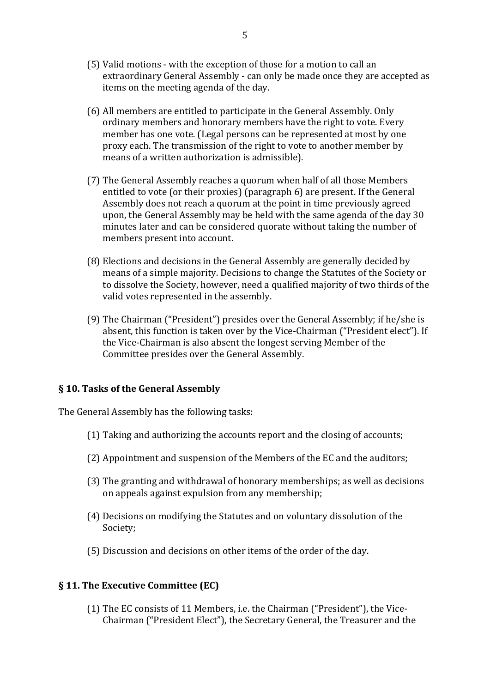- (5) Valid motions with the exception of those for a motion to call an extraordinary General Assembly - can only be made once they are accepted as items on the meeting agenda of the day.
- (6) All members are entitled to participate in the General Assembly. Only ordinary members and honorary members have the right to vote. Every member has one vote. (Legal persons can be represented at most by one proxy each. The transmission of the right to vote to another member by means of a written authorization is admissible).
- (7) The General Assembly reaches a quorum when half of all those Members entitled to vote (or their proxies) (paragraph  $6$ ) are present. If the General Assembly does not reach a quorum at the point in time previously agreed upon, the General Assembly may be held with the same agenda of the day 30 minutes later and can be considered quorate without taking the number of members present into account.
- (8) Elections and decisions in the General Assembly are generally decided by means of a simple majority. Decisions to change the Statutes of the Society or to dissolve the Society, however, need a qualified majority of two thirds of the valid votes represented in the assembly.
- (9) The Chairman ("President") presides over the General Assembly; if he/she is absent, this function is taken over by the Vice-Chairman ("President elect"). If the Vice-Chairman is also absent the longest serving Member of the Committee presides over the General Assembly.

#### **§ 10. Tasks of the General Assembly**

The General Assembly has the following tasks:

- (1) Taking and authorizing the accounts report and the closing of accounts;
- (2) Appointment and suspension of the Members of the EC and the auditors;
- (3) The granting and withdrawal of honorary memberships; as well as decisions on appeals against expulsion from any membership;
- (4) Decisions on modifying the Statutes and on voluntary dissolution of the Society;
- (5) Discussion and decisions on other items of the order of the day.

## **§ 11. The Executive Committee (EC)**

(1) The EC consists of 11 Members, i.e. the Chairman ("President"), the Vice-Chairman ("President Elect"), the Secretary General, the Treasurer and the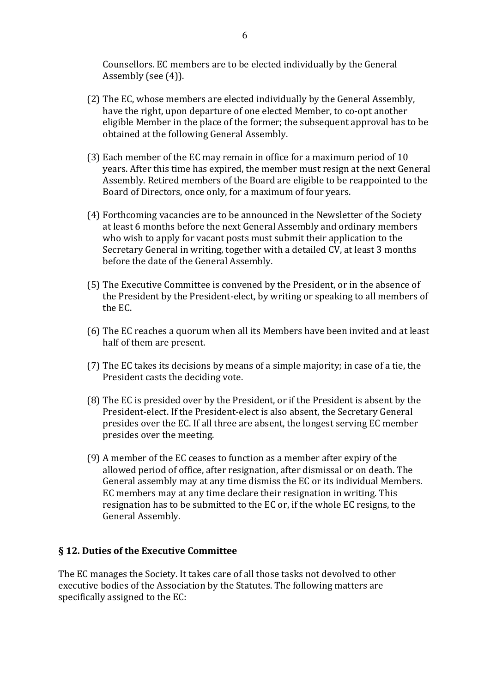Counsellors. EC members are to be elected individually by the General Assembly (see  $(4)$ ).

- (2) The EC, whose members are elected individually by the General Assembly, have the right, upon departure of one elected Member, to co-opt another eligible Member in the place of the former; the subsequent approval has to be obtained at the following General Assembly.
- (3) Each member of the EC may remain in office for a maximum period of 10 years. After this time has expired, the member must resign at the next General Assembly. Retired members of the Board are eligible to be reappointed to the Board of Directors, once only, for a maximum of four years.
- (4) Forthcoming vacancies are to be announced in the Newsletter of the Society at least 6 months before the next General Assembly and ordinary members who wish to apply for vacant posts must submit their application to the Secretary General in writing, together with a detailed CV, at least 3 months before the date of the General Assembly.
- (5) The Executive Committee is convened by the President, or in the absence of the President by the President-elect, by writing or speaking to all members of  $the EC.$
- (6) The EC reaches a quorum when all its Members have been invited and at least half of them are present.
- (7) The EC takes its decisions by means of a simple majority; in case of a tie, the President casts the deciding vote.
- (8) The EC is presided over by the President, or if the President is absent by the President-elect. If the President-elect is also absent, the Secretary General presides over the EC. If all three are absent, the longest serving EC member presides over the meeting.
- (9) A member of the EC ceases to function as a member after expiry of the allowed period of office, after resignation, after dismissal or on death. The General assembly may at any time dismiss the EC or its individual Members. EC members may at any time declare their resignation in writing. This resignation has to be submitted to the EC or, if the whole EC resigns, to the General Assembly.

## § 12. Duties of the Executive Committee

The EC manages the Society. It takes care of all those tasks not devolved to other executive bodies of the Association by the Statutes. The following matters are specifically assigned to the EC: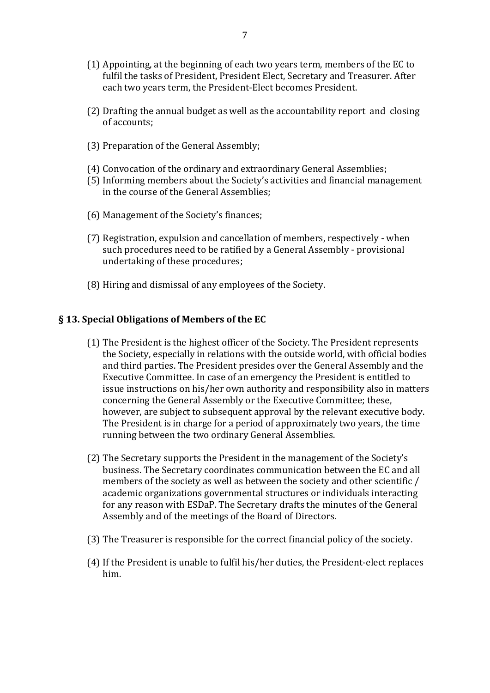- (1) Appointing, at the beginning of each two years term, members of the EC to fulfil the tasks of President, President Elect, Secretary and Treasurer. After each two vears term, the President-Elect becomes President.
- (2) Drafting the annual budget as well as the accountability report and closing of accounts:
- (3) Preparation of the General Assembly:
- (4) Convocation of the ordinary and extraordinary General Assemblies;
- (5) Informing members about the Society's activities and financial management in the course of the General Assemblies;
- (6) Management of the Society's finances;
- (7) Registration, expulsion and cancellation of members, respectively when such procedures need to be ratified by a General Assembly - provisional undertaking of these procedures;
- (8) Hiring and dismissal of any employees of the Society.

#### § 13. Special Obligations of Members of the EC

- (1) The President is the highest officer of the Society. The President represents the Society, especially in relations with the outside world, with official bodies and third parties. The President presides over the General Assembly and the Executive Committee. In case of an emergency the President is entitled to issue instructions on his/her own authority and responsibility also in matters concerning the General Assembly or the Executive Committee; these, however, are subject to subsequent approval by the relevant executive body. The President is in charge for a period of approximately two years, the time running between the two ordinary General Assemblies.
- (2) The Secretary supports the President in the management of the Society's business. The Secretary coordinates communication between the EC and all members of the society as well as between the society and other scientific / academic organizations governmental structures or individuals interacting for any reason with ESDaP. The Secretary drafts the minutes of the General Assembly and of the meetings of the Board of Directors.
- (3) The Treasurer is responsible for the correct financial policy of the society.
- (4) If the President is unable to fulfil his/her duties, the President-elect replaces him.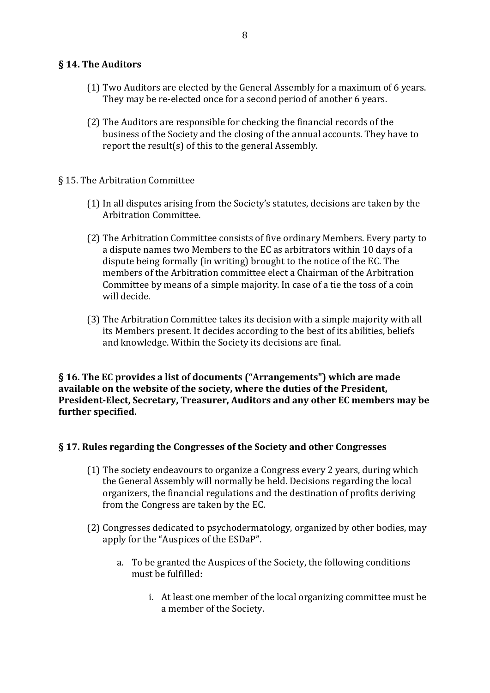#### **§ 14. The Auditors**

- (1) Two Auditors are elected by the General Assembly for a maximum of 6 years. They may be re-elected once for a second period of another 6 years.
- (2) The Auditors are responsible for checking the financial records of the business of the Society and the closing of the annual accounts. They have to report the result(s) of this to the general Assembly.
- § 15. The Arbitration Committee
	- (1) In all disputes arising from the Society's statutes, decisions are taken by the Arbitration Committee.
	- (2) The Arbitration Committee consists of five ordinary Members. Every party to a dispute names two Members to the EC as arbitrators within 10 days of a dispute being formally (in writing) brought to the notice of the EC. The members of the Arbitration committee elect a Chairman of the Arbitration Committee by means of a simple majority. In case of a tie the toss of a coin will decide
	- (3) The Arbitration Committee takes its decision with a simple majority with all its Members present. It decides according to the best of its abilities, beliefs and knowledge. Within the Society its decisions are final.

**§ 16.** The EC provides a list of documents ("Arrangements") which are made available on the website of the society, where the duties of the President, President-Elect, Secretary, Treasurer, Auditors and any other EC members may be further specified.

## **§ 17. Rules regarding the Congresses of the Society and other Congresses**

- $(1)$  The society endeavours to organize a Congress every 2 years, during which the General Assembly will normally be held. Decisions regarding the local organizers, the financial regulations and the destination of profits deriving from the Congress are taken by the EC.
- (2) Congresses dedicated to psychodermatology, organized by other bodies, may apply for the "Auspices of the ESDaP".
	- a. To be granted the Auspices of the Society, the following conditions must be fulfilled $\cdot$ 
		- i. At least one member of the local organizing committee must be a member of the Society.